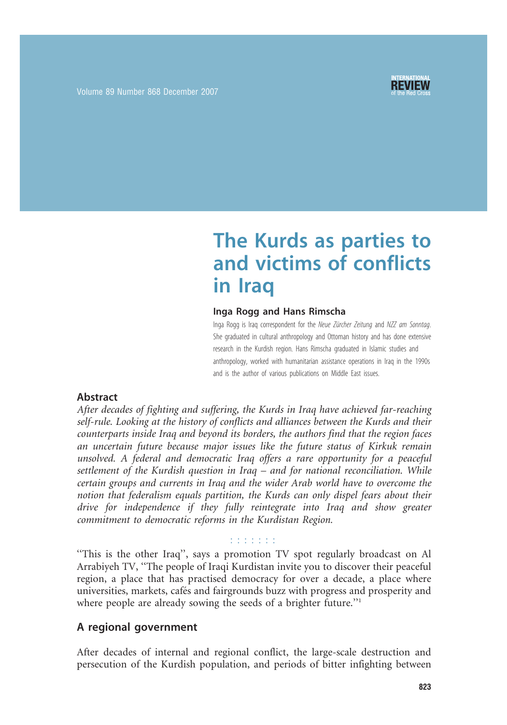



# The Kurds as parties to and victims of conflicts in Iraq

#### Inga Rogg and Hans Rimscha

Inga Rogg is Iraq correspondent for the Neue Zürcher Zeitung and NZZ am Sonntag. She graduated in cultural anthropology and Ottoman history and has done extensive research in the Kurdish region. Hans Rimscha graduated in Islamic studies and anthropology, worked with humanitarian assistance operations in Iraq in the 1990s and is the author of various publications on Middle East issues.

## Abstract

After decades of fighting and suffering, the Kurds in Iraq have achieved far-reaching self-rule. Looking at the history of conflicts and alliances between the Kurds and their counterparts inside Iraq and beyond its borders, the authors find that the region faces an uncertain future because major issues like the future status of Kirkuk remain unsolved. A federal and democratic Iraq offers a rare opportunity for a peaceful settlement of the Kurdish question in Iraq – and for national reconciliation. While certain groups and currents in Iraq and the wider Arab world have to overcome the notion that federalism equals partition, the Kurds can only dispel fears about their drive for independence if they fully reintegrate into Iraq and show greater commitment to democratic reforms in the Kurdistan Region.

#### ::::::

"This is the other Iraq", says a promotion TV spot regularly broadcast on Al Arrabiyeh TV, ''The people of Iraqi Kurdistan invite you to discover their peaceful region, a place that has practised democracy for over a decade, a place where universities, markets, cafés and fairgrounds buzz with progress and prosperity and where people are already sowing the seeds of a brighter future."<sup>1</sup>

#### A regional government

After decades of internal and regional conflict, the large-scale destruction and persecution of the Kurdish population, and periods of bitter infighting between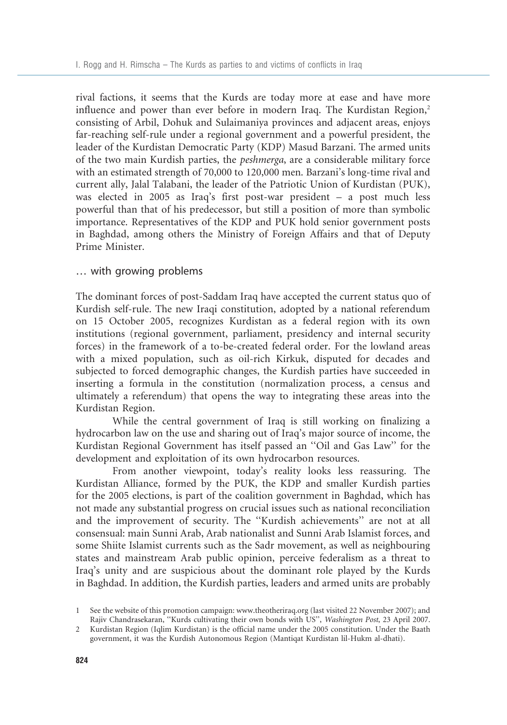rival factions, it seems that the Kurds are today more at ease and have more influence and power than ever before in modern Iraq. The Kurdistan Region, $2$ consisting of Arbil, Dohuk and Sulaimaniya provinces and adjacent areas, enjoys far-reaching self-rule under a regional government and a powerful president, the leader of the Kurdistan Democratic Party (KDP) Masud Barzani. The armed units of the two main Kurdish parties, the peshmerga, are a considerable military force with an estimated strength of 70,000 to 120,000 men. Barzani's long-time rival and current ally, Jalal Talabani, the leader of the Patriotic Union of Kurdistan (PUK), was elected in 2005 as Iraq's first post-war president – a post much less powerful than that of his predecessor, but still a position of more than symbolic importance. Representatives of the KDP and PUK hold senior government posts in Baghdad, among others the Ministry of Foreign Affairs and that of Deputy Prime Minister.

#### … with growing problems

The dominant forces of post-Saddam Iraq have accepted the current status quo of Kurdish self-rule. The new Iraqi constitution, adopted by a national referendum on 15 October 2005, recognizes Kurdistan as a federal region with its own institutions (regional government, parliament, presidency and internal security forces) in the framework of a to-be-created federal order. For the lowland areas with a mixed population, such as oil-rich Kirkuk, disputed for decades and subjected to forced demographic changes, the Kurdish parties have succeeded in inserting a formula in the constitution (normalization process, a census and ultimately a referendum) that opens the way to integrating these areas into the Kurdistan Region.

While the central government of Iraq is still working on finalizing a hydrocarbon law on the use and sharing out of Iraq's major source of income, the Kurdistan Regional Government has itself passed an ''Oil and Gas Law'' for the development and exploitation of its own hydrocarbon resources.

From another viewpoint, today's reality looks less reassuring. The Kurdistan Alliance, formed by the PUK, the KDP and smaller Kurdish parties for the 2005 elections, is part of the coalition government in Baghdad, which has not made any substantial progress on crucial issues such as national reconciliation and the improvement of security. The ''Kurdish achievements'' are not at all consensual: main Sunni Arab, Arab nationalist and Sunni Arab Islamist forces, and some Shiite Islamist currents such as the Sadr movement, as well as neighbouring states and mainstream Arab public opinion, perceive federalism as a threat to Iraq's unity and are suspicious about the dominant role played by the Kurds in Baghdad. In addition, the Kurdish parties, leaders and armed units are probably

<sup>1</sup> See the website of this promotion campaign: www.theotheriraq.org (last visited 22 November 2007); and Rajiv Chandrasekaran, ''Kurds cultivating their own bonds with US'', Washington Post, 23 April 2007.

<sup>2</sup> Kurdistan Region (Iqlim Kurdistan) is the official name under the 2005 constitution. Under the Baath government, it was the Kurdish Autonomous Region (Mantiqat Kurdistan lil-Hukm al-dhati).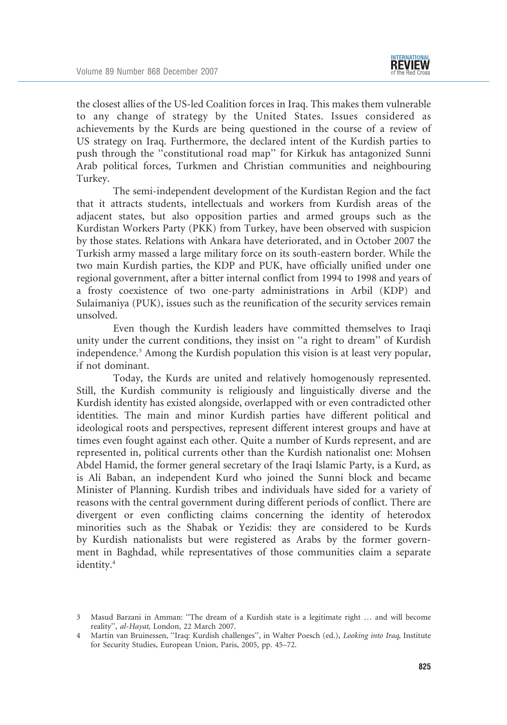the closest allies of the US-led Coalition forces in Iraq. This makes them vulnerable to any change of strategy by the United States. Issues considered as achievements by the Kurds are being questioned in the course of a review of US strategy on Iraq. Furthermore, the declared intent of the Kurdish parties to push through the "constitutional road map" for Kirkuk has antagonized Sunni Arab political forces, Turkmen and Christian communities and neighbouring Turkey.

The semi-independent development of the Kurdistan Region and the fact that it attracts students, intellectuals and workers from Kurdish areas of the adjacent states, but also opposition parties and armed groups such as the Kurdistan Workers Party (PKK) from Turkey, have been observed with suspicion by those states. Relations with Ankara have deteriorated, and in October 2007 the Turkish army massed a large military force on its south-eastern border. While the two main Kurdish parties, the KDP and PUK, have officially unified under one regional government, after a bitter internal conflict from 1994 to 1998 and years of a frosty coexistence of two one-party administrations in Arbil (KDP) and Sulaimaniya (PUK), issues such as the reunification of the security services remain unsolved.

Even though the Kurdish leaders have committed themselves to Iraqi unity under the current conditions, they insist on ''a right to dream'' of Kurdish independence.<sup>3</sup> Among the Kurdish population this vision is at least very popular, if not dominant.

Today, the Kurds are united and relatively homogenously represented. Still, the Kurdish community is religiously and linguistically diverse and the Kurdish identity has existed alongside, overlapped with or even contradicted other identities. The main and minor Kurdish parties have different political and ideological roots and perspectives, represent different interest groups and have at times even fought against each other. Quite a number of Kurds represent, and are represented in, political currents other than the Kurdish nationalist one: Mohsen Abdel Hamid, the former general secretary of the Iraqi Islamic Party, is a Kurd, as is Ali Baban, an independent Kurd who joined the Sunni block and became Minister of Planning. Kurdish tribes and individuals have sided for a variety of reasons with the central government during different periods of conflict. There are divergent or even conflicting claims concerning the identity of heterodox minorities such as the Shabak or Yezidis: they are considered to be Kurds by Kurdish nationalists but were registered as Arabs by the former government in Baghdad, while representatives of those communities claim a separate identity.<sup>4</sup>

<sup>3</sup> Masud Barzani in Amman: ''The dream of a Kurdish state is a legitimate right … and will become reality'', al-Hayat, London, 22 March 2007.

<sup>4</sup> Martin van Bruinessen, ''Iraq: Kurdish challenges'', in Walter Poesch (ed.), Looking into Iraq, Institute for Security Studies, European Union, Paris, 2005, pp. 45–72.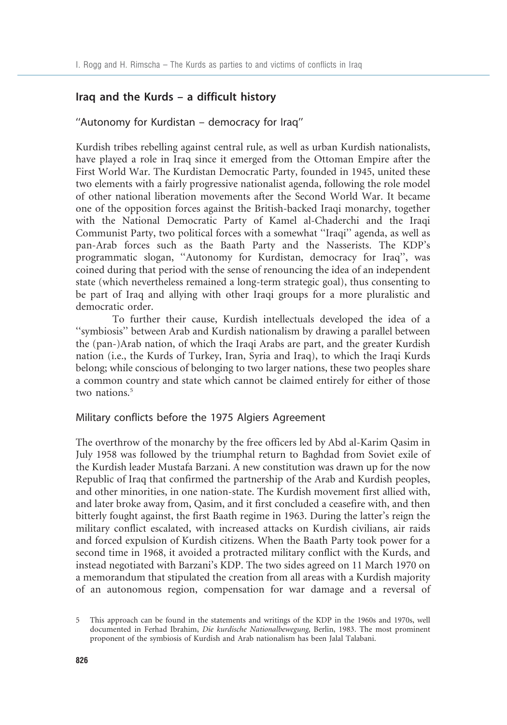## Iraq and the Kurds – a difficult history

## ''Autonomy for Kurdistan – democracy for Iraq''

Kurdish tribes rebelling against central rule, as well as urban Kurdish nationalists, have played a role in Iraq since it emerged from the Ottoman Empire after the First World War. The Kurdistan Democratic Party, founded in 1945, united these two elements with a fairly progressive nationalist agenda, following the role model of other national liberation movements after the Second World War. It became one of the opposition forces against the British-backed Iraqi monarchy, together with the National Democratic Party of Kamel al-Chaderchi and the Iraqi Communist Party, two political forces with a somewhat ''Iraqi'' agenda, as well as pan-Arab forces such as the Baath Party and the Nasserists. The KDP's programmatic slogan, ''Autonomy for Kurdistan, democracy for Iraq'', was coined during that period with the sense of renouncing the idea of an independent state (which nevertheless remained a long-term strategic goal), thus consenting to be part of Iraq and allying with other Iraqi groups for a more pluralistic and democratic order.

To further their cause, Kurdish intellectuals developed the idea of a ''symbiosis'' between Arab and Kurdish nationalism by drawing a parallel between the (pan-)Arab nation, of which the Iraqi Arabs are part, and the greater Kurdish nation (i.e., the Kurds of Turkey, Iran, Syria and Iraq), to which the Iraqi Kurds belong; while conscious of belonging to two larger nations, these two peoples share a common country and state which cannot be claimed entirely for either of those two nations<sup>5</sup>

### Military conflicts before the 1975 Algiers Agreement

The overthrow of the monarchy by the free officers led by Abd al-Karim Qasim in July 1958 was followed by the triumphal return to Baghdad from Soviet exile of the Kurdish leader Mustafa Barzani. A new constitution was drawn up for the now Republic of Iraq that confirmed the partnership of the Arab and Kurdish peoples, and other minorities, in one nation-state. The Kurdish movement first allied with, and later broke away from, Qasim, and it first concluded a ceasefire with, and then bitterly fought against, the first Baath regime in 1963. During the latter's reign the military conflict escalated, with increased attacks on Kurdish civilians, air raids and forced expulsion of Kurdish citizens. When the Baath Party took power for a second time in 1968, it avoided a protracted military conflict with the Kurds, and instead negotiated with Barzani's KDP. The two sides agreed on 11 March 1970 on a memorandum that stipulated the creation from all areas with a Kurdish majority of an autonomous region, compensation for war damage and a reversal of

<sup>5</sup> This approach can be found in the statements and writings of the KDP in the 1960s and 1970s, well documented in Ferhad Ibrahim, Die kurdische Nationalbewegung, Berlin, 1983. The most prominent proponent of the symbiosis of Kurdish and Arab nationalism has been Jalal Talabani.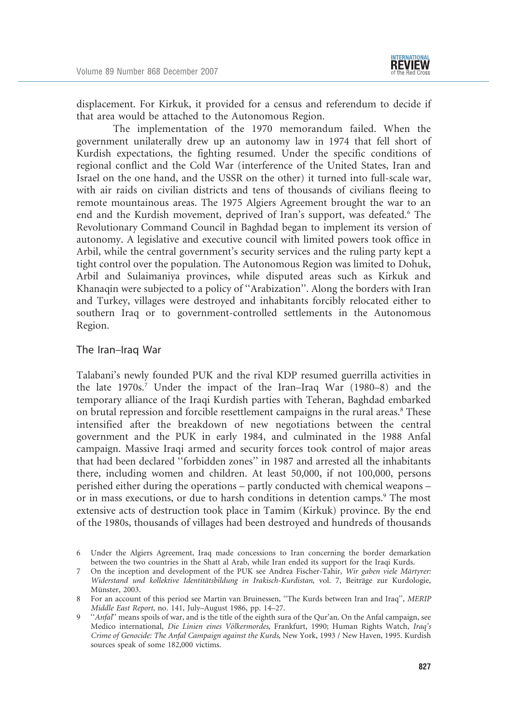

displacement. For Kirkuk, it provided for a census and referendum to decide if that area would be attached to the Autonomous Region.

The implementation of the 1970 memorandum failed. When the government unilaterally drew up an autonomy law in 1974 that fell short of Kurdish expectations, the fighting resumed. Under the specific conditions of regional conflict and the Cold War (interference of the United States, Iran and Israel on the one hand, and the USSR on the other) it turned into full-scale war, with air raids on civilian districts and tens of thousands of civilians fleeing to remote mountainous areas. The 1975 Algiers Agreement brought the war to an end and the Kurdish movement, deprived of Iran's support, was defeated.<sup>6</sup> The Revolutionary Command Council in Baghdad began to implement its version of autonomy. A legislative and executive council with limited powers took office in Arbil, while the central government's security services and the ruling party kept a tight control over the population. The Autonomous Region was limited to Dohuk, Arbil and Sulaimaniya provinces, while disputed areas such as Kirkuk and Khanaqin were subjected to a policy of ''Arabization''. Along the borders with Iran and Turkey, villages were destroyed and inhabitants forcibly relocated either to southern Iraq or to government-controlled settlements in the Autonomous Region.

#### The Iran–Iraq War

Talabani's newly founded PUK and the rival KDP resumed guerrilla activities in the late 1970s.7 Under the impact of the Iran–Iraq War (1980–8) and the temporary alliance of the Iraqi Kurdish parties with Teheran, Baghdad embarked on brutal repression and forcible resettlement campaigns in the rural areas.8 These intensified after the breakdown of new negotiations between the central government and the PUK in early 1984, and culminated in the 1988 Anfal campaign. Massive Iraqi armed and security forces took control of major areas that had been declared ''forbidden zones'' in 1987 and arrested all the inhabitants there, including women and children. At least 50,000, if not 100,000, persons perished either during the operations – partly conducted with chemical weapons – or in mass executions, or due to harsh conditions in detention camps.9 The most extensive acts of destruction took place in Tamim (Kirkuk) province. By the end of the 1980s, thousands of villages had been destroyed and hundreds of thousands

<sup>6</sup> Under the Algiers Agreement, Iraq made concessions to Iran concerning the border demarkation between the two countries in the Shatt al Arab, while Iran ended its support for the Iraqi Kurds.

<sup>7</sup> On the inception and development of the PUK see Andrea Fischer-Tahir, Wir gaben viele Märtyrer: Widerstand und kollektive Identitätsbildung in Irakisch-Kurdistan, vol. 7, Beiträge zur Kurdologie, Münster, 2003.

<sup>8</sup> For an account of this period see Martin van Bruinessen, "The Kurds between Iran and Iraq", MERIP Middle East Report, no. 141, July–August 1986, pp. 14–27.

<sup>9 &#</sup>x27;'Anfal'' means spoils of war, and is the title of the eighth sura of the Qur'an. On the Anfal campaign, see Medico international, Die Linien eines Völkermordes, Frankfurt, 1990; Human Rights Watch, Iraq's Crime of Genocide: The Anfal Campaign against the Kurds, New York, 1993 / New Haven, 1995. Kurdish sources speak of some 182,000 victims.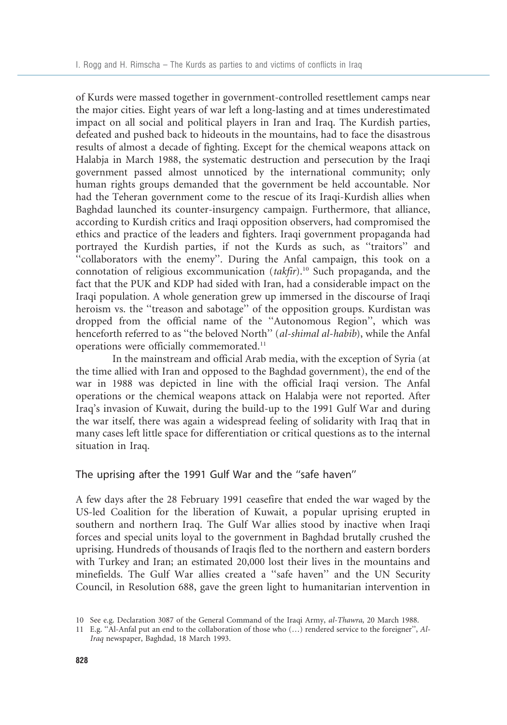of Kurds were massed together in government-controlled resettlement camps near the major cities. Eight years of war left a long-lasting and at times underestimated impact on all social and political players in Iran and Iraq. The Kurdish parties, defeated and pushed back to hideouts in the mountains, had to face the disastrous results of almost a decade of fighting. Except for the chemical weapons attack on Halabja in March 1988, the systematic destruction and persecution by the Iraqi government passed almost unnoticed by the international community; only human rights groups demanded that the government be held accountable. Nor had the Teheran government come to the rescue of its Iraqi-Kurdish allies when Baghdad launched its counter-insurgency campaign. Furthermore, that alliance, according to Kurdish critics and Iraqi opposition observers, had compromised the ethics and practice of the leaders and fighters. Iraqi government propaganda had portrayed the Kurdish parties, if not the Kurds as such, as ''traitors'' and ''collaborators with the enemy''. During the Anfal campaign, this took on a connotation of religious excommunication (takfir).<sup>10</sup> Such propaganda, and the fact that the PUK and KDP had sided with Iran, had a considerable impact on the Iraqi population. A whole generation grew up immersed in the discourse of Iraqi heroism vs. the "treason and sabotage" of the opposition groups. Kurdistan was dropped from the official name of the ''Autonomous Region'', which was henceforth referred to as "the beloved North" (al-shimal al-habib), while the Anfal operations were officially commemorated.<sup>11</sup>

In the mainstream and official Arab media, with the exception of Syria (at the time allied with Iran and opposed to the Baghdad government), the end of the war in 1988 was depicted in line with the official Iraqi version. The Anfal operations or the chemical weapons attack on Halabja were not reported. After Iraq's invasion of Kuwait, during the build-up to the 1991 Gulf War and during the war itself, there was again a widespread feeling of solidarity with Iraq that in many cases left little space for differentiation or critical questions as to the internal situation in Iraq.

The uprising after the 1991 Gulf War and the ''safe haven''

A few days after the 28 February 1991 ceasefire that ended the war waged by the US-led Coalition for the liberation of Kuwait, a popular uprising erupted in southern and northern Iraq. The Gulf War allies stood by inactive when Iraqi forces and special units loyal to the government in Baghdad brutally crushed the uprising. Hundreds of thousands of Iraqis fled to the northern and eastern borders with Turkey and Iran; an estimated 20,000 lost their lives in the mountains and minefields. The Gulf War allies created a ''safe haven'' and the UN Security Council, in Resolution 688, gave the green light to humanitarian intervention in

<sup>10</sup> See e.g. Declaration 3087 of the General Command of the Iraqi Army, al-Thawra, 20 March 1988.

<sup>11</sup> E.g. ''Al-Anfal put an end to the collaboration of those who (…) rendered service to the foreigner'', Al-Iraq newspaper, Baghdad, 18 March 1993.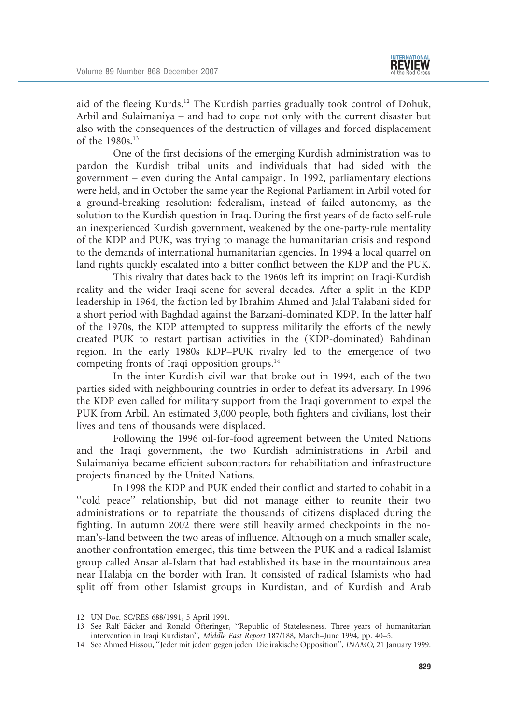

aid of the fleeing Kurds.12 The Kurdish parties gradually took control of Dohuk, Arbil and Sulaimaniya – and had to cope not only with the current disaster but also with the consequences of the destruction of villages and forced displacement of the 1980s.13

One of the first decisions of the emerging Kurdish administration was to pardon the Kurdish tribal units and individuals that had sided with the government – even during the Anfal campaign. In 1992, parliamentary elections were held, and in October the same year the Regional Parliament in Arbil voted for a ground-breaking resolution: federalism, instead of failed autonomy, as the solution to the Kurdish question in Iraq. During the first years of de facto self-rule an inexperienced Kurdish government, weakened by the one-party-rule mentality of the KDP and PUK, was trying to manage the humanitarian crisis and respond to the demands of international humanitarian agencies. In 1994 a local quarrel on land rights quickly escalated into a bitter conflict between the KDP and the PUK.

This rivalry that dates back to the 1960s left its imprint on Iraqi-Kurdish reality and the wider Iraqi scene for several decades. After a split in the KDP leadership in 1964, the faction led by Ibrahim Ahmed and Jalal Talabani sided for a short period with Baghdad against the Barzani-dominated KDP. In the latter half of the 1970s, the KDP attempted to suppress militarily the efforts of the newly created PUK to restart partisan activities in the (KDP-dominated) Bahdinan region. In the early 1980s KDP–PUK rivalry led to the emergence of two competing fronts of Iraqi opposition groups.14

In the inter-Kurdish civil war that broke out in 1994, each of the two parties sided with neighbouring countries in order to defeat its adversary. In 1996 the KDP even called for military support from the Iraqi government to expel the PUK from Arbil. An estimated 3,000 people, both fighters and civilians, lost their lives and tens of thousands were displaced.

Following the 1996 oil-for-food agreement between the United Nations and the Iraqi government, the two Kurdish administrations in Arbil and Sulaimaniya became efficient subcontractors for rehabilitation and infrastructure projects financed by the United Nations.

In 1998 the KDP and PUK ended their conflict and started to cohabit in a "cold peace" relationship, but did not manage either to reunite their two administrations or to repatriate the thousands of citizens displaced during the fighting. In autumn 2002 there were still heavily armed checkpoints in the noman's-land between the two areas of influence. Although on a much smaller scale, another confrontation emerged, this time between the PUK and a radical Islamist group called Ansar al-Islam that had established its base in the mountainous area near Halabja on the border with Iran. It consisted of radical Islamists who had split off from other Islamist groups in Kurdistan, and of Kurdish and Arab

<sup>12</sup> UN Doc. SC/RES 688/1991, 5 April 1991.

<sup>13</sup> See Ralf Bäcker and Ronald Ofteringer, "Republic of Statelessness. Three years of humanitarian intervention in Iraqi Kurdistan'', Middle East Report 187/188, March–June 1994, pp. 40–5.

<sup>14</sup> See Ahmed Hissou, ''Jeder mit jedem gegen jeden: Die irakische Opposition'', INAMO, 21 January 1999.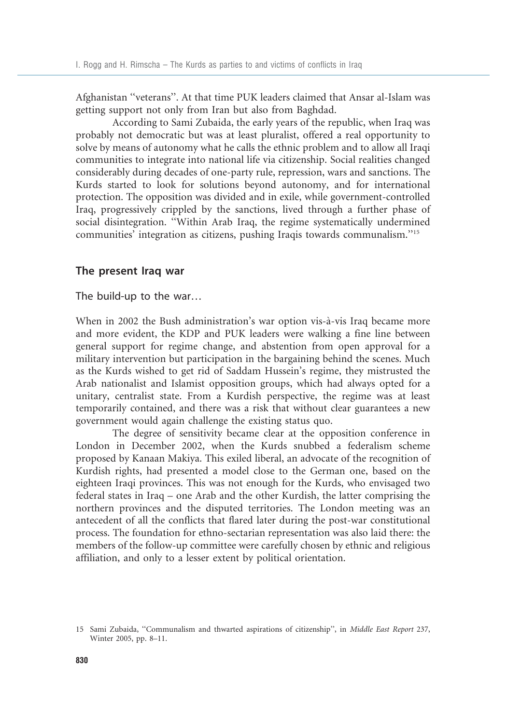Afghanistan ''veterans''. At that time PUK leaders claimed that Ansar al-Islam was getting support not only from Iran but also from Baghdad.

According to Sami Zubaida, the early years of the republic, when Iraq was probably not democratic but was at least pluralist, offered a real opportunity to solve by means of autonomy what he calls the ethnic problem and to allow all Iraqi communities to integrate into national life via citizenship. Social realities changed considerably during decades of one-party rule, repression, wars and sanctions. The Kurds started to look for solutions beyond autonomy, and for international protection. The opposition was divided and in exile, while government-controlled Iraq, progressively crippled by the sanctions, lived through a further phase of social disintegration. ''Within Arab Iraq, the regime systematically undermined communities' integration as citizens, pushing Iraqis towards communalism.''15

#### The present Iraq war

The build-up to the war…

When in 2002 the Bush administration's war option vis-à-vis Iraq became more and more evident, the KDP and PUK leaders were walking a fine line between general support for regime change, and abstention from open approval for a military intervention but participation in the bargaining behind the scenes. Much as the Kurds wished to get rid of Saddam Hussein's regime, they mistrusted the Arab nationalist and Islamist opposition groups, which had always opted for a unitary, centralist state. From a Kurdish perspective, the regime was at least temporarily contained, and there was a risk that without clear guarantees a new government would again challenge the existing status quo.

The degree of sensitivity became clear at the opposition conference in London in December 2002, when the Kurds snubbed a federalism scheme proposed by Kanaan Makiya. This exiled liberal, an advocate of the recognition of Kurdish rights, had presented a model close to the German one, based on the eighteen Iraqi provinces. This was not enough for the Kurds, who envisaged two federal states in Iraq – one Arab and the other Kurdish, the latter comprising the northern provinces and the disputed territories. The London meeting was an antecedent of all the conflicts that flared later during the post-war constitutional process. The foundation for ethno-sectarian representation was also laid there: the members of the follow-up committee were carefully chosen by ethnic and religious affiliation, and only to a lesser extent by political orientation.

<sup>15</sup> Sami Zubaida, ''Communalism and thwarted aspirations of citizenship'', in Middle East Report 237, Winter 2005, pp. 8–11.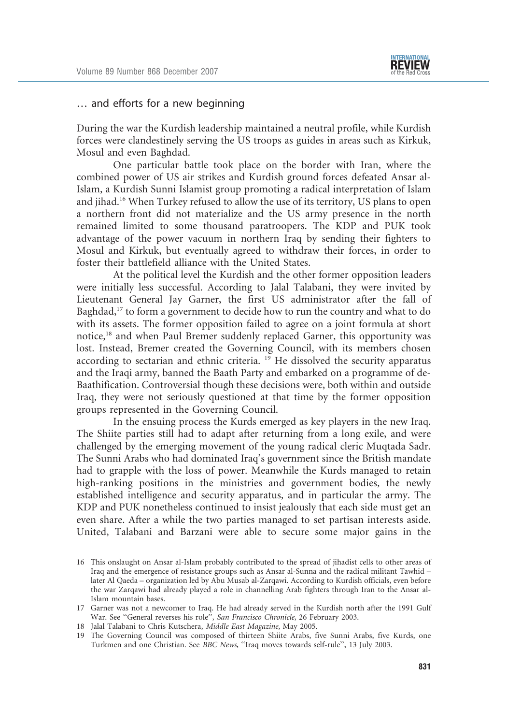

## … and efforts for a new beginning

During the war the Kurdish leadership maintained a neutral profile, while Kurdish forces were clandestinely serving the US troops as guides in areas such as Kirkuk, Mosul and even Baghdad.

One particular battle took place on the border with Iran, where the combined power of US air strikes and Kurdish ground forces defeated Ansar al-Islam, a Kurdish Sunni Islamist group promoting a radical interpretation of Islam and jihad.16 When Turkey refused to allow the use of its territory, US plans to open a northern front did not materialize and the US army presence in the north remained limited to some thousand paratroopers. The KDP and PUK took advantage of the power vacuum in northern Iraq by sending their fighters to Mosul and Kirkuk, but eventually agreed to withdraw their forces, in order to foster their battlefield alliance with the United States.

At the political level the Kurdish and the other former opposition leaders were initially less successful. According to Jalal Talabani, they were invited by Lieutenant General Jay Garner, the first US administrator after the fall of Baghdad, $1^7$  to form a government to decide how to run the country and what to do with its assets. The former opposition failed to agree on a joint formula at short notice,18 and when Paul Bremer suddenly replaced Garner, this opportunity was lost. Instead, Bremer created the Governing Council, with its members chosen according to sectarian and ethnic criteria.<sup>19</sup> He dissolved the security apparatus and the Iraqi army, banned the Baath Party and embarked on a programme of de-Baathification. Controversial though these decisions were, both within and outside Iraq, they were not seriously questioned at that time by the former opposition groups represented in the Governing Council.

In the ensuing process the Kurds emerged as key players in the new Iraq. The Shiite parties still had to adapt after returning from a long exile, and were challenged by the emerging movement of the young radical cleric Muqtada Sadr. The Sunni Arabs who had dominated Iraq's government since the British mandate had to grapple with the loss of power. Meanwhile the Kurds managed to retain high-ranking positions in the ministries and government bodies, the newly established intelligence and security apparatus, and in particular the army. The KDP and PUK nonetheless continued to insist jealously that each side must get an even share. After a while the two parties managed to set partisan interests aside. United, Talabani and Barzani were able to secure some major gains in the

<sup>16</sup> This onslaught on Ansar al-Islam probably contributed to the spread of jihadist cells to other areas of Iraq and the emergence of resistance groups such as Ansar al-Sunna and the radical militant Tawhid – later Al Qaeda – organization led by Abu Musab al-Zarqawi. According to Kurdish officials, even before the war Zarqawi had already played a role in channelling Arab fighters through Iran to the Ansar al-Islam mountain bases.

<sup>17</sup> Garner was not a newcomer to Iraq. He had already served in the Kurdish north after the 1991 Gulf War. See ''General reverses his role'', San Francisco Chronicle, 26 February 2003.

<sup>18</sup> Jalal Talabani to Chris Kutschera, Middle East Magazine, May 2005.

<sup>19</sup> The Governing Council was composed of thirteen Shiite Arabs, five Sunni Arabs, five Kurds, one Turkmen and one Christian. See BBC News, ''Iraq moves towards self-rule'', 13 July 2003.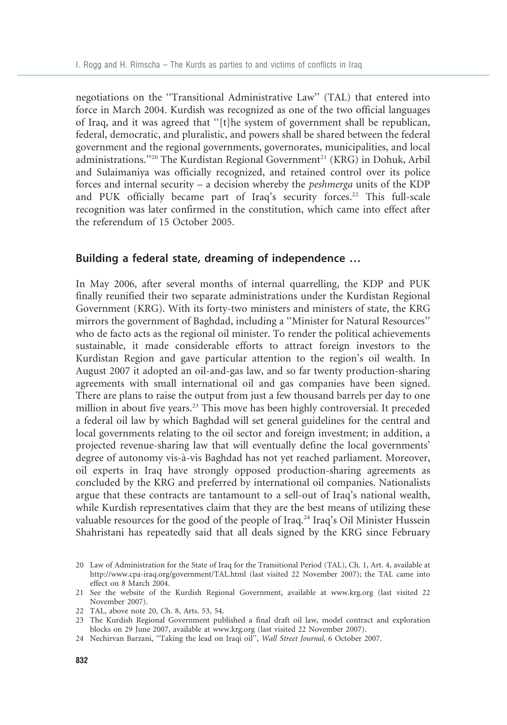negotiations on the ''Transitional Administrative Law'' (TAL) that entered into force in March 2004. Kurdish was recognized as one of the two official languages of Iraq, and it was agreed that ''[t]he system of government shall be republican, federal, democratic, and pluralistic, and powers shall be shared between the federal government and the regional governments, governorates, municipalities, and local administrations."<sup>20</sup> The Kurdistan Regional Government<sup>21</sup> (KRG) in Dohuk, Arbil and Sulaimaniya was officially recognized, and retained control over its police forces and internal security – a decision whereby the peshmerga units of the KDP and PUK officially became part of Iraq's security forces.<sup>22</sup> This full-scale recognition was later confirmed in the constitution, which came into effect after the referendum of 15 October 2005.

## Building a federal state, dreaming of independence …

In May 2006, after several months of internal quarrelling, the KDP and PUK finally reunified their two separate administrations under the Kurdistan Regional Government (KRG). With its forty-two ministers and ministers of state, the KRG mirrors the government of Baghdad, including a ''Minister for Natural Resources'' who de facto acts as the regional oil minister. To render the political achievements sustainable, it made considerable efforts to attract foreign investors to the Kurdistan Region and gave particular attention to the region's oil wealth. In August 2007 it adopted an oil-and-gas law, and so far twenty production-sharing agreements with small international oil and gas companies have been signed. There are plans to raise the output from just a few thousand barrels per day to one million in about five years.<sup>23</sup> This move has been highly controversial. It preceded a federal oil law by which Baghdad will set general guidelines for the central and local governments relating to the oil sector and foreign investment; in addition, a projected revenue-sharing law that will eventually define the local governments' degree of autonomy vis-à-vis Baghdad has not yet reached parliament. Moreover, oil experts in Iraq have strongly opposed production-sharing agreements as concluded by the KRG and preferred by international oil companies. Nationalists argue that these contracts are tantamount to a sell-out of Iraq's national wealth, while Kurdish representatives claim that they are the best means of utilizing these valuable resources for the good of the people of Iraq.<sup>24</sup> Iraq's Oil Minister Hussein Shahristani has repeatedly said that all deals signed by the KRG since February

<sup>20</sup> Law of Administration for the State of Iraq for the Transitional Period (TAL), Ch. 1, Art. 4, available at http://www.cpa-iraq.org/government/TAL.html (last visited 22 November 2007); the TAL came into effect on 8 March 2004.

<sup>21</sup> See the website of the Kurdish Regional Government, available at www.krg.org (last visited 22 November 2007).

<sup>22</sup> TAL, above note 20, Ch. 8, Arts. 53, 54.

<sup>23</sup> The Kurdish Regional Government published a final draft oil law, model contract and exploration blocks on 29 June 2007, available at www.krg.org (last visited 22 November 2007).

<sup>24</sup> Nechirvan Barzani, ''Taking the lead on Iraqi oil'', Wall Street Journal, 6 October 2007.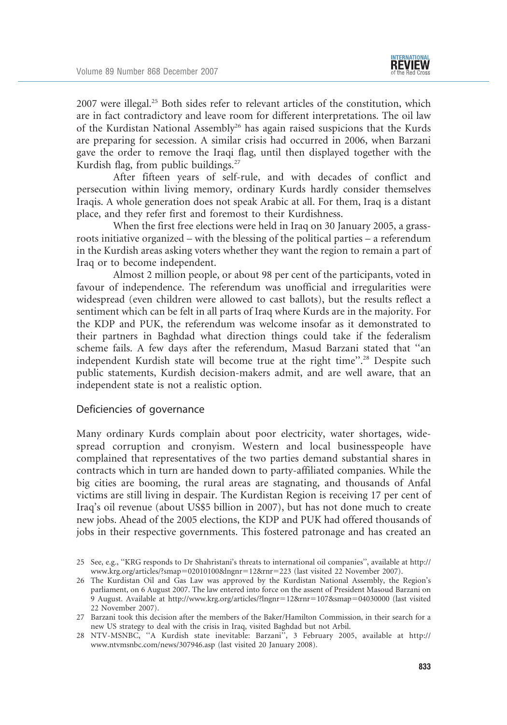

2007 were illegal.<sup>25</sup> Both sides refer to relevant articles of the constitution, which are in fact contradictory and leave room for different interpretations. The oil law of the Kurdistan National Assembly<sup>26</sup> has again raised suspicions that the Kurds are preparing for secession. A similar crisis had occurred in 2006, when Barzani gave the order to remove the Iraqi flag, until then displayed together with the Kurdish flag, from public buildings.<sup>27</sup>

After fifteen years of self-rule, and with decades of conflict and persecution within living memory, ordinary Kurds hardly consider themselves Iraqis. A whole generation does not speak Arabic at all. For them, Iraq is a distant place, and they refer first and foremost to their Kurdishness.

When the first free elections were held in Iraq on 30 January 2005, a grassroots initiative organized – with the blessing of the political parties – a referendum in the Kurdish areas asking voters whether they want the region to remain a part of Iraq or to become independent.

Almost 2 million people, or about 98 per cent of the participants, voted in favour of independence. The referendum was unofficial and irregularities were widespread (even children were allowed to cast ballots), but the results reflect a sentiment which can be felt in all parts of Iraq where Kurds are in the majority. For the KDP and PUK, the referendum was welcome insofar as it demonstrated to their partners in Baghdad what direction things could take if the federalism scheme fails. A few days after the referendum, Masud Barzani stated that ''an independent Kurdish state will become true at the right time".<sup>28</sup> Despite such public statements, Kurdish decision-makers admit, and are well aware, that an independent state is not a realistic option.

#### Deficiencies of governance

Many ordinary Kurds complain about poor electricity, water shortages, widespread corruption and cronyism. Western and local businesspeople have complained that representatives of the two parties demand substantial shares in contracts which in turn are handed down to party-affiliated companies. While the big cities are booming, the rural areas are stagnating, and thousands of Anfal victims are still living in despair. The Kurdistan Region is receiving 17 per cent of Iraq's oil revenue (about US\$5 billion in 2007), but has not done much to create new jobs. Ahead of the 2005 elections, the KDP and PUK had offered thousands of jobs in their respective governments. This fostered patronage and has created an

<sup>25</sup> See, e.g., ''KRG responds to Dr Shahristani's threats to international oil companies'', available at http:// www.krg.org/articles/?smap=02010100&lngnr=12&rnr=223 (last visited 22 November 2007).

<sup>26</sup> The Kurdistan Oil and Gas Law was approved by the Kurdistan National Assembly, the Region's parliament, on 6 August 2007. The law entered into force on the assent of President Masoud Barzani on 9 August. Available at http://www.krg.org/articles/?lngnr=12&rnr=107&smap=04030000 (last visited 22 November 2007).

<sup>27</sup> Barzani took this decision after the members of the Baker/Hamilton Commission, in their search for a new US strategy to deal with the crisis in Iraq, visited Baghdad but not Arbil.

<sup>28</sup> NTV-MSNBC, ''A Kurdish state inevitable: Barzani'', 3 February 2005, available at http:// www.ntvmsnbc.com/news/307946.asp (last visited 20 January 2008).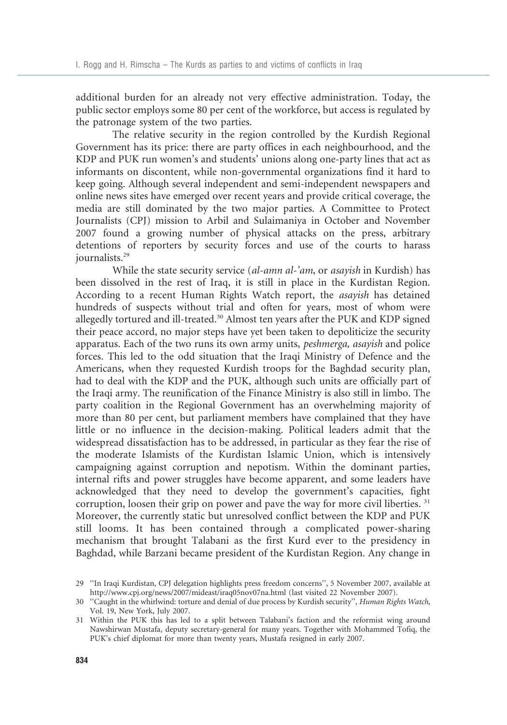additional burden for an already not very effective administration. Today, the public sector employs some 80 per cent of the workforce, but access is regulated by the patronage system of the two parties.

The relative security in the region controlled by the Kurdish Regional Government has its price: there are party offices in each neighbourhood, and the KDP and PUK run women's and students' unions along one-party lines that act as informants on discontent, while non-governmental organizations find it hard to keep going. Although several independent and semi-independent newspapers and online news sites have emerged over recent years and provide critical coverage, the media are still dominated by the two major parties. A Committee to Protect Journalists (CPJ) mission to Arbil and Sulaimaniya in October and November 2007 found a growing number of physical attacks on the press, arbitrary detentions of reporters by security forces and use of the courts to harass journalists.<sup>29</sup>

While the state security service (al-amn al-'am, or asayish in Kurdish) has been dissolved in the rest of Iraq, it is still in place in the Kurdistan Region. According to a recent Human Rights Watch report, the asayish has detained hundreds of suspects without trial and often for years, most of whom were allegedly tortured and ill-treated.<sup>30</sup> Almost ten years after the PUK and KDP signed their peace accord, no major steps have yet been taken to depoliticize the security apparatus. Each of the two runs its own army units, peshmerga, asayish and police forces. This led to the odd situation that the Iraqi Ministry of Defence and the Americans, when they requested Kurdish troops for the Baghdad security plan, had to deal with the KDP and the PUK, although such units are officially part of the Iraqi army. The reunification of the Finance Ministry is also still in limbo. The party coalition in the Regional Government has an overwhelming majority of more than 80 per cent, but parliament members have complained that they have little or no influence in the decision-making. Political leaders admit that the widespread dissatisfaction has to be addressed, in particular as they fear the rise of the moderate Islamists of the Kurdistan Islamic Union, which is intensively campaigning against corruption and nepotism. Within the dominant parties, internal rifts and power struggles have become apparent, and some leaders have acknowledged that they need to develop the government's capacities, fight corruption, loosen their grip on power and pave the way for more civil liberties.<sup>31</sup> Moreover, the currently static but unresolved conflict between the KDP and PUK still looms. It has been contained through a complicated power-sharing mechanism that brought Talabani as the first Kurd ever to the presidency in Baghdad, while Barzani became president of the Kurdistan Region. Any change in

<sup>29 &#</sup>x27;'In Iraqi Kurdistan, CPJ delegation highlights press freedom concerns'', 5 November 2007, available at http://www.cpj.org/news/2007/mideast/iraq05nov07na.html (last visited 22 November 2007).

<sup>30 &#</sup>x27;'Caught in the whirlwind: torture and denial of due process by Kurdish security'', Human Rights Watch, Vol. 19, New York, July 2007.

<sup>31</sup> Within the PUK this has led to a split between Talabani's faction and the reformist wing around Nawshirwan Mustafa, deputy secretary-general for many years. Together with Mohammed Tofiq, the PUK's chief diplomat for more than twenty years, Mustafa resigned in early 2007.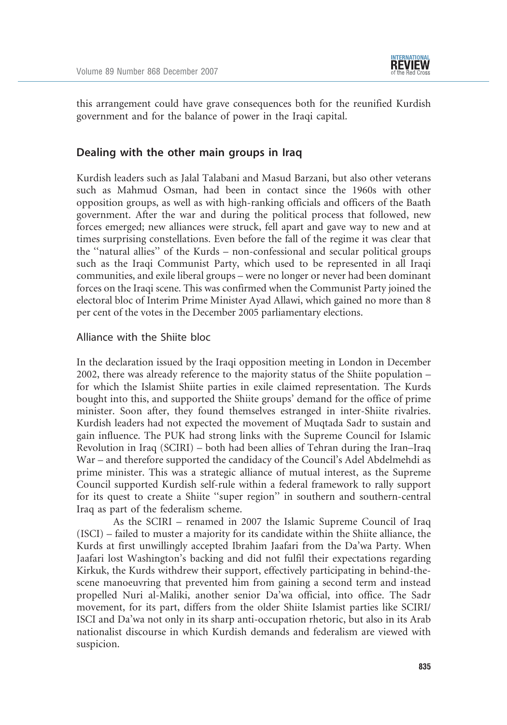

this arrangement could have grave consequences both for the reunified Kurdish government and for the balance of power in the Iraqi capital.

## Dealing with the other main groups in Iraq

Kurdish leaders such as Jalal Talabani and Masud Barzani, but also other veterans such as Mahmud Osman, had been in contact since the 1960s with other opposition groups, as well as with high-ranking officials and officers of the Baath government. After the war and during the political process that followed, new forces emerged; new alliances were struck, fell apart and gave way to new and at times surprising constellations. Even before the fall of the regime it was clear that the ''natural allies'' of the Kurds – non-confessional and secular political groups such as the Iraqi Communist Party, which used to be represented in all Iraqi communities, and exile liberal groups – were no longer or never had been dominant forces on the Iraqi scene. This was confirmed when the Communist Party joined the electoral bloc of Interim Prime Minister Ayad Allawi, which gained no more than 8 per cent of the votes in the December 2005 parliamentary elections.

## Alliance with the Shiite bloc

In the declaration issued by the Iraqi opposition meeting in London in December 2002, there was already reference to the majority status of the Shiite population – for which the Islamist Shiite parties in exile claimed representation. The Kurds bought into this, and supported the Shiite groups' demand for the office of prime minister. Soon after, they found themselves estranged in inter-Shiite rivalries. Kurdish leaders had not expected the movement of Muqtada Sadr to sustain and gain influence. The PUK had strong links with the Supreme Council for Islamic Revolution in Iraq (SCIRI) – both had been allies of Tehran during the Iran–Iraq War – and therefore supported the candidacy of the Council's Adel Abdelmehdi as prime minister. This was a strategic alliance of mutual interest, as the Supreme Council supported Kurdish self-rule within a federal framework to rally support for its quest to create a Shiite ''super region'' in southern and southern-central Iraq as part of the federalism scheme.

As the SCIRI – renamed in 2007 the Islamic Supreme Council of Iraq (ISCI) – failed to muster a majority for its candidate within the Shiite alliance, the Kurds at first unwillingly accepted Ibrahim Jaafari from the Da'wa Party. When Jaafari lost Washington's backing and did not fulfil their expectations regarding Kirkuk, the Kurds withdrew their support, effectively participating in behind-thescene manoeuvring that prevented him from gaining a second term and instead propelled Nuri al-Maliki, another senior Da'wa official, into office. The Sadr movement, for its part, differs from the older Shiite Islamist parties like SCIRI/ ISCI and Da'wa not only in its sharp anti-occupation rhetoric, but also in its Arab nationalist discourse in which Kurdish demands and federalism are viewed with suspicion.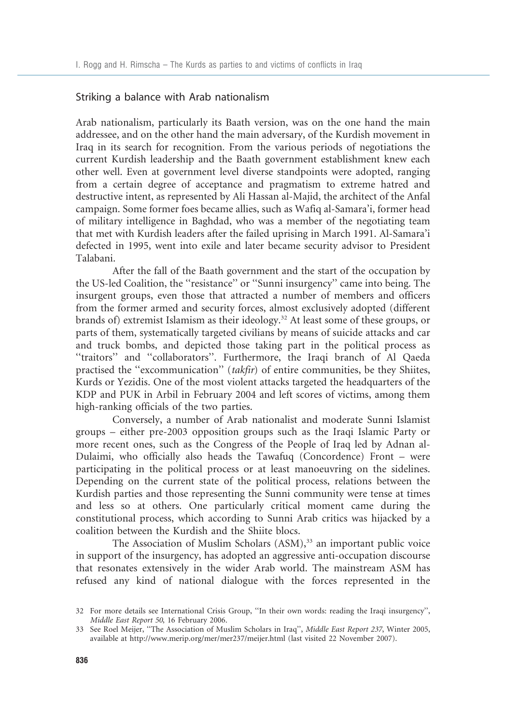#### Striking a balance with Arab nationalism

Arab nationalism, particularly its Baath version, was on the one hand the main addressee, and on the other hand the main adversary, of the Kurdish movement in Iraq in its search for recognition. From the various periods of negotiations the current Kurdish leadership and the Baath government establishment knew each other well. Even at government level diverse standpoints were adopted, ranging from a certain degree of acceptance and pragmatism to extreme hatred and destructive intent, as represented by Ali Hassan al-Majid, the architect of the Anfal campaign. Some former foes became allies, such as Wafiq al-Samara'i, former head of military intelligence in Baghdad, who was a member of the negotiating team that met with Kurdish leaders after the failed uprising in March 1991. Al-Samara'i defected in 1995, went into exile and later became security advisor to President Talabani.

After the fall of the Baath government and the start of the occupation by the US-led Coalition, the ''resistance'' or ''Sunni insurgency'' came into being. The insurgent groups, even those that attracted a number of members and officers from the former armed and security forces, almost exclusively adopted (different brands of) extremist Islamism as their ideology.32 At least some of these groups, or parts of them, systematically targeted civilians by means of suicide attacks and car and truck bombs, and depicted those taking part in the political process as ''traitors'' and ''collaborators''. Furthermore, the Iraqi branch of Al Qaeda practised the ''excommunication'' (takfir) of entire communities, be they Shiites, Kurds or Yezidis. One of the most violent attacks targeted the headquarters of the KDP and PUK in Arbil in February 2004 and left scores of victims, among them high-ranking officials of the two parties.

Conversely, a number of Arab nationalist and moderate Sunni Islamist groups – either pre-2003 opposition groups such as the Iraqi Islamic Party or more recent ones, such as the Congress of the People of Iraq led by Adnan al-Dulaimi, who officially also heads the Tawafuq (Concordence) Front – were participating in the political process or at least manoeuvring on the sidelines. Depending on the current state of the political process, relations between the Kurdish parties and those representing the Sunni community were tense at times and less so at others. One particularly critical moment came during the constitutional process, which according to Sunni Arab critics was hijacked by a coalition between the Kurdish and the Shiite blocs.

The Association of Muslim Scholars (ASM),<sup>33</sup> an important public voice in support of the insurgency, has adopted an aggressive anti-occupation discourse that resonates extensively in the wider Arab world. The mainstream ASM has refused any kind of national dialogue with the forces represented in the

<sup>32</sup> For more details see International Crisis Group, ''In their own words: reading the Iraqi insurgency'', Middle East Report 50, 16 February 2006.

<sup>33</sup> See Roel Meijer, ''The Association of Muslim Scholars in Iraq'', Middle East Report 237, Winter 2005, available at http://www.merip.org/mer/mer237/meijer.html (last visited 22 November 2007).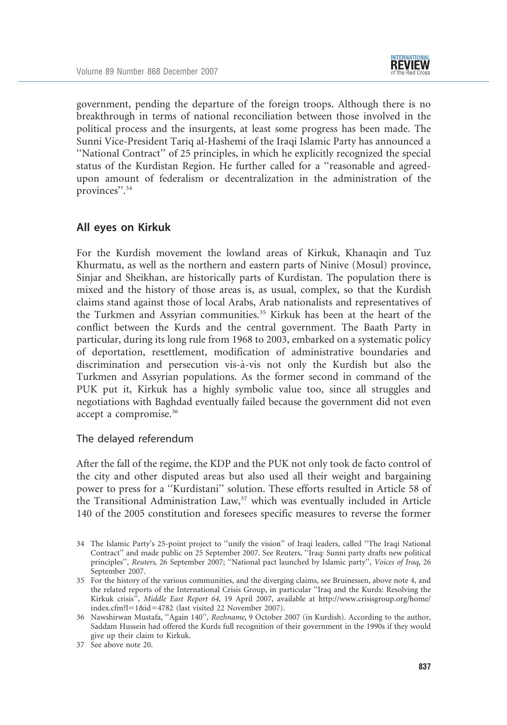

government, pending the departure of the foreign troops. Although there is no breakthrough in terms of national reconciliation between those involved in the political process and the insurgents, at least some progress has been made. The Sunni Vice-President Tariq al-Hashemi of the Iraqi Islamic Party has announced a ''National Contract'' of 25 principles, in which he explicitly recognized the special status of the Kurdistan Region. He further called for a ''reasonable and agreedupon amount of federalism or decentralization in the administration of the provinces".<sup>34</sup>

## All eyes on Kirkuk

For the Kurdish movement the lowland areas of Kirkuk, Khanaqin and Tuz Khurmatu, as well as the northern and eastern parts of Ninive (Mosul) province, Sinjar and Sheikhan, are historically parts of Kurdistan. The population there is mixed and the history of those areas is, as usual, complex, so that the Kurdish claims stand against those of local Arabs, Arab nationalists and representatives of the Turkmen and Assyrian communities.<sup>35</sup> Kirkuk has been at the heart of the conflict between the Kurds and the central government. The Baath Party in particular, during its long rule from 1968 to 2003, embarked on a systematic policy of deportation, resettlement, modification of administrative boundaries and discrimination and persecution vis-a`-vis not only the Kurdish but also the Turkmen and Assyrian populations. As the former second in command of the PUK put it, Kirkuk has a highly symbolic value too, since all struggles and negotiations with Baghdad eventually failed because the government did not even accept a compromise.<sup>36</sup>

## The delayed referendum

After the fall of the regime, the KDP and the PUK not only took de facto control of the city and other disputed areas but also used all their weight and bargaining power to press for a ''Kurdistani'' solution. These efforts resulted in Article 58 of the Transitional Administration Law,37 which was eventually included in Article 140 of the 2005 constitution and foresees specific measures to reverse the former

<sup>34</sup> The Islamic Party's 25-point project to ''unify the vision'' of Iraqi leaders, called ''The Iraqi National Contract'' and made public on 25 September 2007. See Reuters, ''Iraq: Sunni party drafts new political principles'', Reuters, 26 September 2007; ''National pact launched by Islamic party'', Voices of Iraq, 26 September 2007.

<sup>35</sup> For the history of the various communities, and the diverging claims, see Bruinessen, above note 4, and the related reports of the International Crisis Group, in particular ''Iraq and the Kurds: Resolving the Kirkuk crisis'', Middle East Report 64, 19 April 2007, available at http://www.crisisgroup.org/home/ index.cfm?l=1&id=4782 (last visited 22 November 2007).

<sup>36</sup> Nawshirwan Mustafa, ''Again 140'', Rozhname, 9 October 2007 (in Kurdish). According to the author, Saddam Hussein had offered the Kurds full recognition of their government in the 1990s if they would give up their claim to Kirkuk.

<sup>37</sup> See above note 20.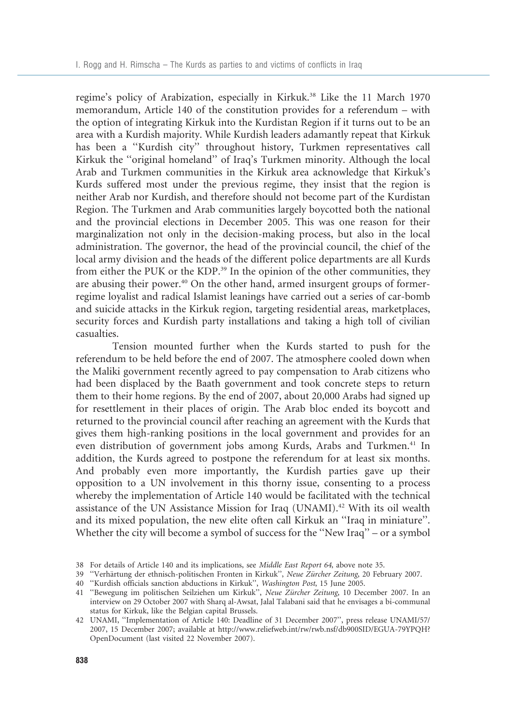regime's policy of Arabization, especially in Kirkuk.<sup>38</sup> Like the 11 March 1970 memorandum, Article 140 of the constitution provides for a referendum – with the option of integrating Kirkuk into the Kurdistan Region if it turns out to be an area with a Kurdish majority. While Kurdish leaders adamantly repeat that Kirkuk has been a ''Kurdish city'' throughout history, Turkmen representatives call Kirkuk the ''original homeland'' of Iraq's Turkmen minority. Although the local Arab and Turkmen communities in the Kirkuk area acknowledge that Kirkuk's Kurds suffered most under the previous regime, they insist that the region is neither Arab nor Kurdish, and therefore should not become part of the Kurdistan Region. The Turkmen and Arab communities largely boycotted both the national and the provincial elections in December 2005. This was one reason for their marginalization not only in the decision-making process, but also in the local administration. The governor, the head of the provincial council, the chief of the local army division and the heads of the different police departments are all Kurds from either the PUK or the KDP.<sup>39</sup> In the opinion of the other communities, they are abusing their power.<sup>40</sup> On the other hand, armed insurgent groups of formerregime loyalist and radical Islamist leanings have carried out a series of car-bomb and suicide attacks in the Kirkuk region, targeting residential areas, marketplaces, security forces and Kurdish party installations and taking a high toll of civilian casualties.

Tension mounted further when the Kurds started to push for the referendum to be held before the end of 2007. The atmosphere cooled down when the Maliki government recently agreed to pay compensation to Arab citizens who had been displaced by the Baath government and took concrete steps to return them to their home regions. By the end of 2007, about 20,000 Arabs had signed up for resettlement in their places of origin. The Arab bloc ended its boycott and returned to the provincial council after reaching an agreement with the Kurds that gives them high-ranking positions in the local government and provides for an even distribution of government jobs among Kurds, Arabs and Turkmen.<sup>41</sup> In addition, the Kurds agreed to postpone the referendum for at least six months. And probably even more importantly, the Kurdish parties gave up their opposition to a UN involvement in this thorny issue, consenting to a process whereby the implementation of Article 140 would be facilitated with the technical assistance of the UN Assistance Mission for Iraq (UNAMI).<sup>42</sup> With its oil wealth and its mixed population, the new elite often call Kirkuk an ''Iraq in miniature''. Whether the city will become a symbol of success for the "New Iraq" – or a symbol

<sup>38</sup> For details of Article 140 and its implications, see Middle East Report 64, above note 35.

<sup>39 &</sup>quot;Verhärtung der ethnisch-politischen Fronten in Kirkuk", Neue Zürcher Zeitung, 20 February 2007.

<sup>40 &#</sup>x27;'Kurdish officials sanction abductions in Kirkuk'', Washington Post, 15 June 2005.

<sup>41 &</sup>quot;Bewegung im politischen Seilziehen um Kirkuk", Neue Zürcher Zeitung, 10 December 2007. In an interview on 29 October 2007 with Sharq al-Awsat, Jalal Talabani said that he envisages a bi-communal status for Kirkuk, like the Belgian capital Brussels.

<sup>42</sup> UNAMI, ''Implementation of Article 140: Deadline of 31 December 2007'', press release UNAMI/57/ 2007, 15 December 2007; available at http://www.reliefweb.int/rw/rwb.nsf/db900SID/EGUA-79YPQH? OpenDocument (last visited 22 November 2007).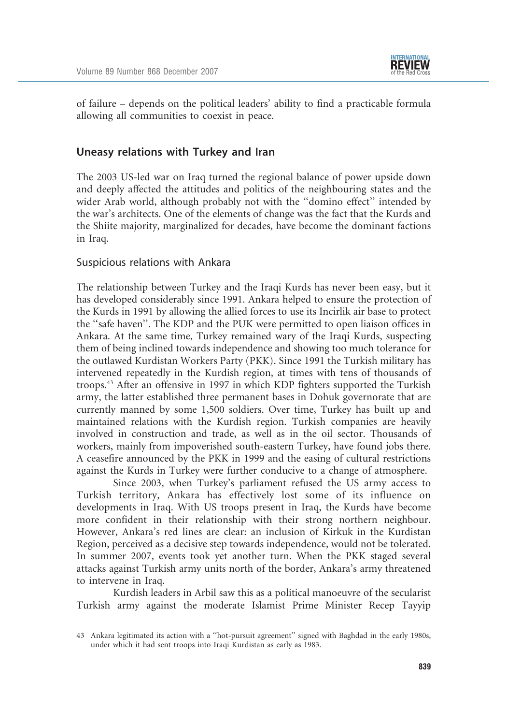

of failure – depends on the political leaders' ability to find a practicable formula allowing all communities to coexist in peace.

## Uneasy relations with Turkey and Iran

The 2003 US-led war on Iraq turned the regional balance of power upside down and deeply affected the attitudes and politics of the neighbouring states and the wider Arab world, although probably not with the ''domino effect'' intended by the war's architects. One of the elements of change was the fact that the Kurds and the Shiite majority, marginalized for decades, have become the dominant factions in Iraq.

#### Suspicious relations with Ankara

The relationship between Turkey and the Iraqi Kurds has never been easy, but it has developed considerably since 1991. Ankara helped to ensure the protection of the Kurds in 1991 by allowing the allied forces to use its Incirlik air base to protect the ''safe haven''. The KDP and the PUK were permitted to open liaison offices in Ankara. At the same time, Turkey remained wary of the Iraqi Kurds, suspecting them of being inclined towards independence and showing too much tolerance for the outlawed Kurdistan Workers Party (PKK). Since 1991 the Turkish military has intervened repeatedly in the Kurdish region, at times with tens of thousands of troops.43 After an offensive in 1997 in which KDP fighters supported the Turkish army, the latter established three permanent bases in Dohuk governorate that are currently manned by some 1,500 soldiers. Over time, Turkey has built up and maintained relations with the Kurdish region. Turkish companies are heavily involved in construction and trade, as well as in the oil sector. Thousands of workers, mainly from impoverished south-eastern Turkey, have found jobs there. A ceasefire announced by the PKK in 1999 and the easing of cultural restrictions against the Kurds in Turkey were further conducive to a change of atmosphere.

Since 2003, when Turkey's parliament refused the US army access to Turkish territory, Ankara has effectively lost some of its influence on developments in Iraq. With US troops present in Iraq, the Kurds have become more confident in their relationship with their strong northern neighbour. However, Ankara's red lines are clear: an inclusion of Kirkuk in the Kurdistan Region, perceived as a decisive step towards independence, would not be tolerated. In summer 2007, events took yet another turn. When the PKK staged several attacks against Turkish army units north of the border, Ankara's army threatened to intervene in Iraq.

Kurdish leaders in Arbil saw this as a political manoeuvre of the secularist Turkish army against the moderate Islamist Prime Minister Recep Tayyip

<sup>43</sup> Ankara legitimated its action with a ''hot-pursuit agreement'' signed with Baghdad in the early 1980s, under which it had sent troops into Iraqi Kurdistan as early as 1983.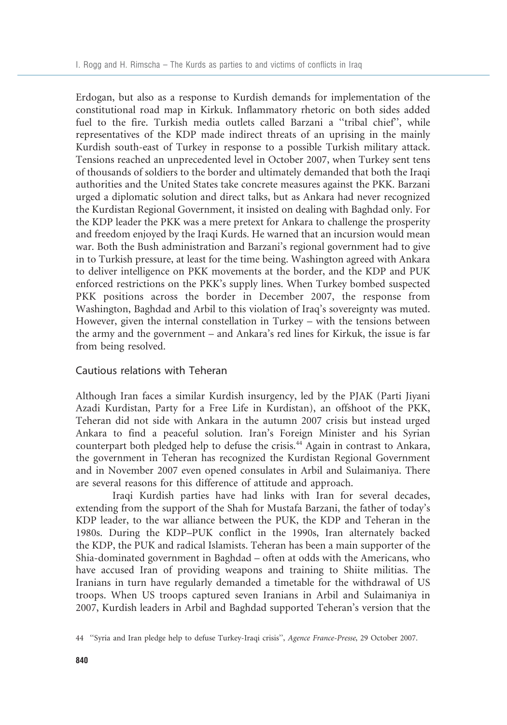Erdogan, but also as a response to Kurdish demands for implementation of the constitutional road map in Kirkuk. Inflammatory rhetoric on both sides added fuel to the fire. Turkish media outlets called Barzani a ''tribal chief'', while representatives of the KDP made indirect threats of an uprising in the mainly Kurdish south-east of Turkey in response to a possible Turkish military attack. Tensions reached an unprecedented level in October 2007, when Turkey sent tens of thousands of soldiers to the border and ultimately demanded that both the Iraqi authorities and the United States take concrete measures against the PKK. Barzani urged a diplomatic solution and direct talks, but as Ankara had never recognized the Kurdistan Regional Government, it insisted on dealing with Baghdad only. For the KDP leader the PKK was a mere pretext for Ankara to challenge the prosperity and freedom enjoyed by the Iraqi Kurds. He warned that an incursion would mean war. Both the Bush administration and Barzani's regional government had to give in to Turkish pressure, at least for the time being. Washington agreed with Ankara to deliver intelligence on PKK movements at the border, and the KDP and PUK enforced restrictions on the PKK's supply lines. When Turkey bombed suspected PKK positions across the border in December 2007, the response from Washington, Baghdad and Arbil to this violation of Iraq's sovereignty was muted. However, given the internal constellation in Turkey – with the tensions between the army and the government – and Ankara's red lines for Kirkuk, the issue is far from being resolved.

## Cautious relations with Teheran

Although Iran faces a similar Kurdish insurgency, led by the PJAK (Parti Jiyani Azadi Kurdistan, Party for a Free Life in Kurdistan), an offshoot of the PKK, Teheran did not side with Ankara in the autumn 2007 crisis but instead urged Ankara to find a peaceful solution. Iran's Foreign Minister and his Syrian counterpart both pledged help to defuse the crisis.<sup>44</sup> Again in contrast to Ankara, the government in Teheran has recognized the Kurdistan Regional Government and in November 2007 even opened consulates in Arbil and Sulaimaniya. There are several reasons for this difference of attitude and approach.

Iraqi Kurdish parties have had links with Iran for several decades, extending from the support of the Shah for Mustafa Barzani, the father of today's KDP leader, to the war alliance between the PUK, the KDP and Teheran in the 1980s. During the KDP–PUK conflict in the 1990s, Iran alternately backed the KDP, the PUK and radical Islamists. Teheran has been a main supporter of the Shia-dominated government in Baghdad – often at odds with the Americans, who have accused Iran of providing weapons and training to Shiite militias. The Iranians in turn have regularly demanded a timetable for the withdrawal of US troops. When US troops captured seven Iranians in Arbil and Sulaimaniya in 2007, Kurdish leaders in Arbil and Baghdad supported Teheran's version that the

<sup>44 &#</sup>x27;'Syria and Iran pledge help to defuse Turkey-Iraqi crisis'', Agence France-Presse, 29 October 2007.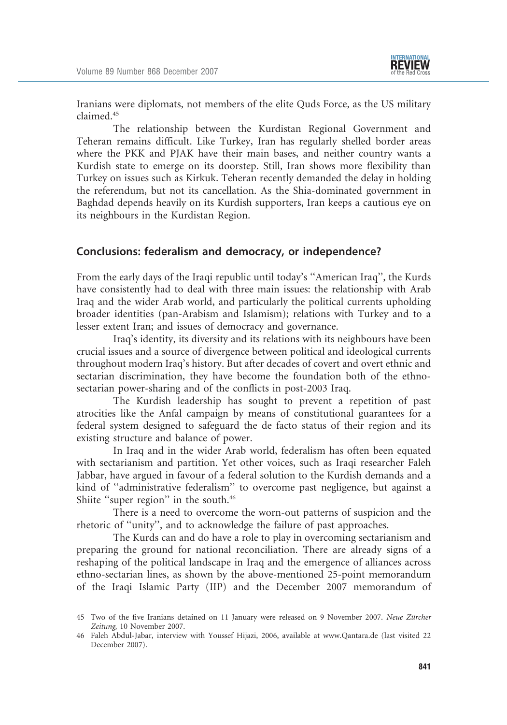

Iranians were diplomats, not members of the elite Quds Force, as the US military claimed.45

The relationship between the Kurdistan Regional Government and Teheran remains difficult. Like Turkey, Iran has regularly shelled border areas where the PKK and PJAK have their main bases, and neither country wants a Kurdish state to emerge on its doorstep. Still, Iran shows more flexibility than Turkey on issues such as Kirkuk. Teheran recently demanded the delay in holding the referendum, but not its cancellation. As the Shia-dominated government in Baghdad depends heavily on its Kurdish supporters, Iran keeps a cautious eye on its neighbours in the Kurdistan Region.

## Conclusions: federalism and democracy, or independence?

From the early days of the Iraqi republic until today's ''American Iraq'', the Kurds have consistently had to deal with three main issues: the relationship with Arab Iraq and the wider Arab world, and particularly the political currents upholding broader identities (pan-Arabism and Islamism); relations with Turkey and to a lesser extent Iran; and issues of democracy and governance.

Iraq's identity, its diversity and its relations with its neighbours have been crucial issues and a source of divergence between political and ideological currents throughout modern Iraq's history. But after decades of covert and overt ethnic and sectarian discrimination, they have become the foundation both of the ethnosectarian power-sharing and of the conflicts in post-2003 Iraq.

The Kurdish leadership has sought to prevent a repetition of past atrocities like the Anfal campaign by means of constitutional guarantees for a federal system designed to safeguard the de facto status of their region and its existing structure and balance of power.

In Iraq and in the wider Arab world, federalism has often been equated with sectarianism and partition. Yet other voices, such as Iraqi researcher Faleh Jabbar, have argued in favour of a federal solution to the Kurdish demands and a kind of ''administrative federalism'' to overcome past negligence, but against a Shiite "super region" in the south.<sup>46</sup>

There is a need to overcome the worn-out patterns of suspicion and the rhetoric of ''unity'', and to acknowledge the failure of past approaches.

The Kurds can and do have a role to play in overcoming sectarianism and preparing the ground for national reconciliation. There are already signs of a reshaping of the political landscape in Iraq and the emergence of alliances across ethno-sectarian lines, as shown by the above-mentioned 25-point memorandum of the Iraqi Islamic Party (IIP) and the December 2007 memorandum of

<sup>45</sup> Two of the five Iranians detained on 11 January were released on 9 November 2007. Neue Zürcher Zeitung, 10 November 2007.

<sup>46</sup> Faleh Abdul-Jabar, interview with Youssef Hijazi, 2006, available at www.Qantara.de (last visited 22 December 2007).